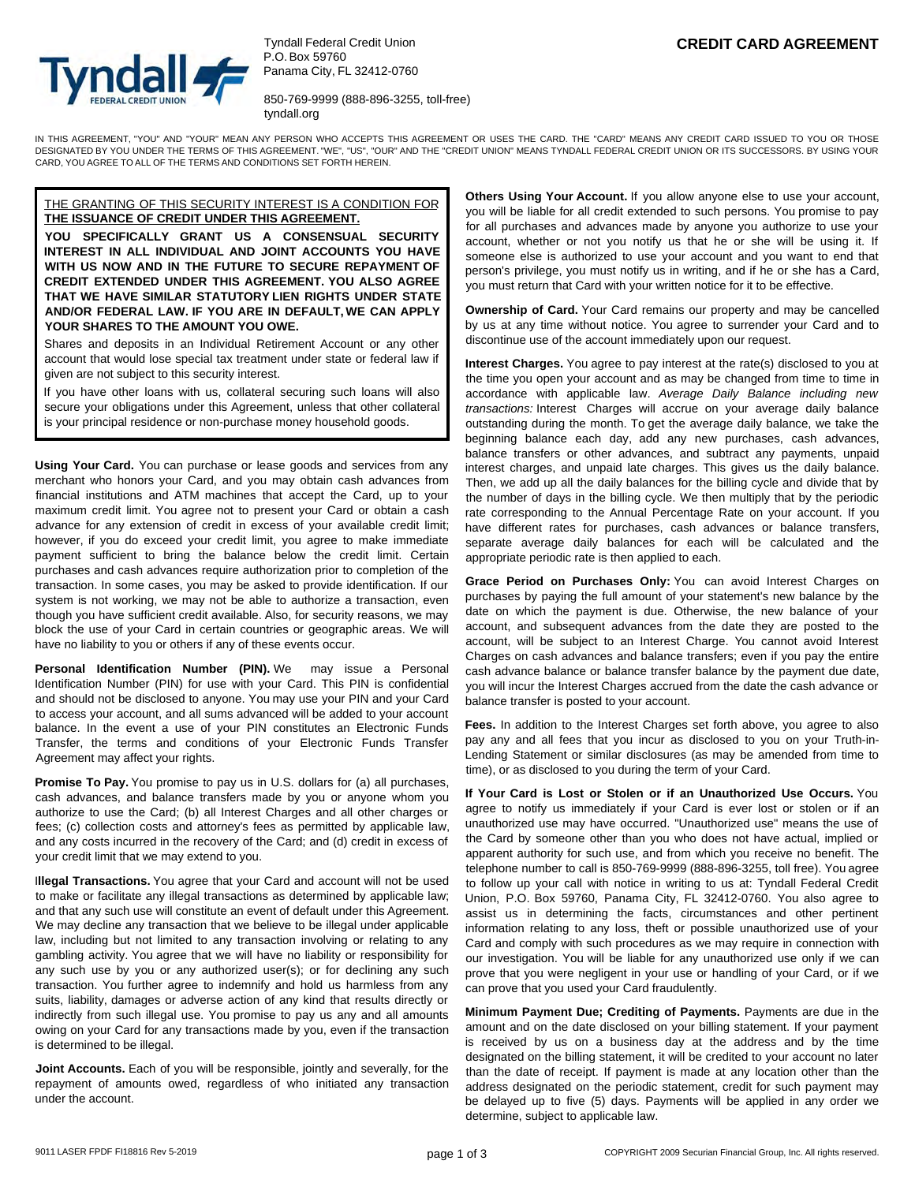

Tyndall Federal Credit Union P.O. Box 59760 Panama City, FL 32412-0760

850-769-9999 (888-896-3255, toll-free) tyndall.org

IN THIS AGREEMENT, "YOU" AND "YOUR" MEAN ANY PERSON WHO ACCEPTS THIS AGREEMENT OR USES THE CARD. THE "CARD" MEANS ANY CREDIT CARD ISSUED TO YOU OR THOSE DESIGNATED BY YOU UNDER THE TERMS OF THIS AGREEMENT. "WE", "US", "OUR" AND THE "CREDIT UNION" MEANS TYNDALL FEDERAL CREDIT UNION OR ITS SUCCESSORS. BY USING YOUR CARD, YOU AGREE TO ALL OF THE TERMS AND CONDITIONS SET FORTH HEREIN.

### THE GRANTING OF THIS SECURITY INTEREST IS A CONDITION FOR **THE ISSUANCE OF CREDIT UNDER THIS AGREEMENT.**

**YOU SPECIFICALLY GRANT US A CONSENSUAL SECURITY INTEREST IN ALL INDIVIDUAL AND JOINT ACCOUNTS YOU HAVE WITH US NOW AND IN THE FUTURE TO SECURE REPAYMENT OF CREDIT EXTENDED UNDER THIS AGREEMENT. YOU ALSO AGREE THAT WE HAVE SIMILAR STATUTORY LIEN RIGHTS UNDER STATE AND/OR FEDERAL LAW. IF YOU ARE IN DEFAULT, WE CAN APPLY YOUR SHARES TO THE AMOUNT YOU OWE.**

Shares and deposits in an Individual Retirement Account or any other account that would lose special tax treatment under state or federal law if given are not subject to this security interest.

If you have other loans with us, collateral securing such loans will also secure your obligations under this Agreement, unless that other collateral is your principal residence or non-purchase money household goods.

**Using Your Card.** You can purchase or lease goods and services from any merchant who honors your Card, and you may obtain cash advances from financial institutions and ATM machines that accept the Card, up to your maximum credit limit. You agree not to present your Card or obtain a cash advance for any extension of credit in excess of your available credit limit; however, if you do exceed your credit limit, you agree to make immediate payment sufficient to bring the balance below the credit limit. Certain purchases and cash advances require authorization prior to completion of the transaction. In some cases, you may be asked to provide identification. If our system is not working, we may not be able to authorize a transaction, even though you have sufficient credit available. Also, for security reasons, we may block the use of your Card in certain countries or geographic areas. We will have no liability to you or others if any of these events occur.

**Personal Identification Number (PIN).** We may issue a Personal Identification Number (PIN) for use with your Card. This PIN is confidential and should not be disclosed to anyone. You may use your PIN and your Card to access your account, and all sums advanced will be added to your account balance. In the event a use of your PIN constitutes an Electronic Funds Transfer, the terms and conditions of your Electronic Funds Transfer Agreement may affect your rights.

**Promise To Pay.** You promise to pay us in U.S. dollars for (a) all purchases, cash advances, and balance transfers made by you or anyone whom you authorize to use the Card; (b) all Interest Charges and all other charges or fees; (c) collection costs and attorney's fees as permitted by applicable law, and any costs incurred in the recovery of the Card; and (d) credit in excess of your credit limit that we may extend to you.

I**llegal Transactions.** You agree that your Card and account will not be used to make or facilitate any illegal transactions as determined by applicable law; and that any such use will constitute an event of default under this Agreement. We may decline any transaction that we believe to be illegal under applicable law, including but not limited to any transaction involving or relating to any gambling activity. You agree that we will have no liability or responsibility for any such use by you or any authorized user(s); or for declining any such transaction. You further agree to indemnify and hold us harmless from any suits, liability, damages or adverse action of any kind that results directly or indirectly from such illegal use. You promise to pay us any and all amounts owing on your Card for any transactions made by you, even if the transaction is determined to be illegal.

**Joint Accounts.** Each of you will be responsible, jointly and severally, for the repayment of amounts owed, regardless of who initiated any transaction under the account.

**Others Using Your Account.** If you allow anyone else to use your account, you will be liable for all credit extended to such persons. You promise to pay for all purchases and advances made by anyone you authorize to use your account, whether or not you notify us that he or she will be using it. If someone else is authorized to use your account and you want to end that person's privilege, you must notify us in writing, and if he or she has a Card, you must return that Card with your written notice for it to be effective.

**Ownership of Card.** Your Card remains our property and may be cancelled by us at any time without notice. You agree to surrender your Card and to discontinue use of the account immediately upon our request.

**Interest Charges.** You agree to pay interest at the rate(s) disclosed to you at the time you open your account and as may be changed from time to time in accordance with applicable law. *Average Daily Balance including new transactions:* Interest Charges will accrue on your average daily balance outstanding during the month. To get the average daily balance, we take the beginning balance each day, add any new purchases, cash advances, balance transfers or other advances, and subtract any payments, unpaid interest charges, and unpaid late charges. This gives us the daily balance. Then, we add up all the daily balances for the billing cycle and divide that by the number of days in the billing cycle. We then multiply that by the periodic rate corresponding to the Annual Percentage Rate on your account. If you have different rates for purchases, cash advances or balance transfers, separate average daily balances for each will be calculated and the appropriate periodic rate is then applied to each.

**Grace Period on Purchases Only:** You can avoid Interest Charges on purchases by paying the full amount of your statement's new balance by the date on which the payment is due. Otherwise, the new balance of your account, and subsequent advances from the date they are posted to the account, will be subject to an Interest Charge. You cannot avoid Interest Charges on cash advances and balance transfers; even if you pay the entire cash advance balance or balance transfer balance by the payment due date, you will incur the Interest Charges accrued from the date the cash advance or balance transfer is posted to your account.

**Fees.** In addition to the Interest Charges set forth above, you agree to also pay any and all fees that you incur as disclosed to you on your Truth-in-Lending Statement or similar disclosures (as may be amended from time to time), or as disclosed to you during the term of your Card.

**If Your Card is Lost or Stolen or if an Unauthorized Use Occurs.** You agree to notify us immediately if your Card is ever lost or stolen or if an unauthorized use may have occurred. "Unauthorized use" means the use of the Card by someone other than you who does not have actual, implied or apparent authority for such use, and from which you receive no benefit. The telephone number to call is 850-769-9999 (888-896-3255, toll free). You agree to follow up your call with notice in writing to us at: Tyndall Federal Credit Union, P.O. Box 59760, Panama City, FL 32412-0760. You also agree to assist us in determining the facts, circumstances and other pertinent information relating to any loss, theft or possible unauthorized use of your Card and comply with such procedures as we may require in connection with our investigation. You will be liable for any unauthorized use only if we can prove that you were negligent in your use or handling of your Card, or if we can prove that you used your Card fraudulently.

**Minimum Payment Due; Crediting of Payments.** Payments are due in the amount and on the date disclosed on your billing statement. If your payment is received by us on a business day at the address and by the time designated on the billing statement, it will be credited to your account no later than the date of receipt. If payment is made at any location other than the address designated on the periodic statement, credit for such payment may be delayed up to five (5) days. Payments will be applied in any order we determine, subject to applicable law.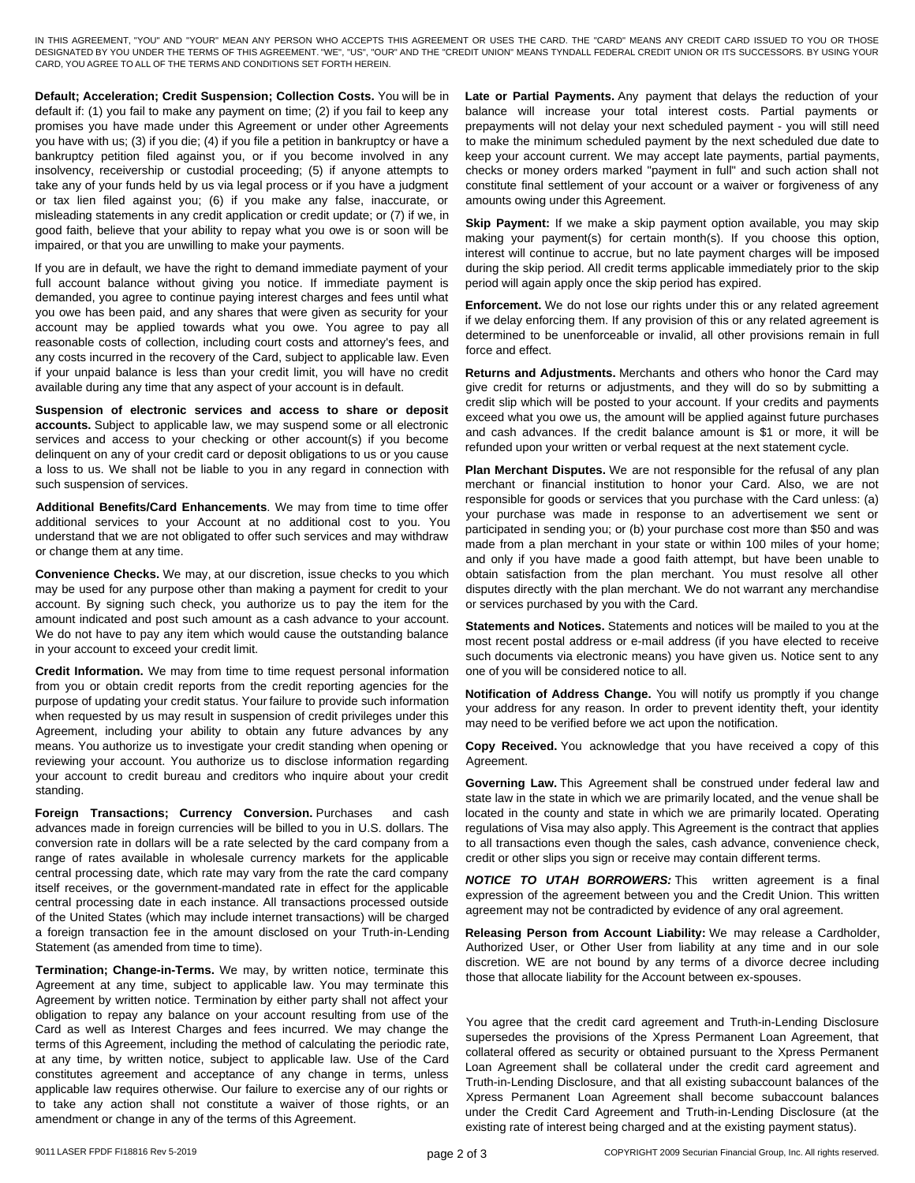IN THIS AGREEMENT, "YOU" AND "YOUR" MEAN ANY PERSON WHO ACCEPTS THIS AGREEMENT OR USES THE CARD. THE "CARD" MEANS ANY CREDIT CARD ISSUED TO YOU OR THOSE DESIGNATED BY YOU UNDER THE TERMS OF THIS AGREEMENT. "WE", "US", "OUR" AND THE "CREDIT UNION" MEANS TYNDALL FEDERAL CREDIT UNION OR ITS SUCCESSORS. BY USING YOUR CARD, YOU AGREE TO ALL OF THE TERMS AND CONDITIONS SET FORTH HEREIN.

**Default; Acceleration; Credit Suspension; Collection Costs.** You will be in default if: (1) you fail to make any payment on time; (2) if you fail to keep any promises you have made under this Agreement or under other Agreements you have with us; (3) if you die; (4) if you file a petition in bankruptcy or have a bankruptcy petition filed against you, or if you become involved in any insolvency, receivership or custodial proceeding; (5) if anyone attempts to take any of your funds held by us via legal process or if you have a judgment or tax lien filed against you; (6) if you make any false, inaccurate, or misleading statements in any credit application or credit update; or (7) if we, in good faith, believe that your ability to repay what you owe is or soon will be impaired, or that you are unwilling to make your payments.

If you are in default, we have the right to demand immediate payment of your full account balance without giving you notice. If immediate payment is demanded, you agree to continue paying interest charges and fees until what you owe has been paid, and any shares that were given as security for your account may be applied towards what you owe. You agree to pay all reasonable costs of collection, including court costs and attorney's fees, and any costs incurred in the recovery of the Card, subject to applicable law. Even if your unpaid balance is less than your credit limit, you will have no credit available during any time that any aspect of your account is in default.

**Suspension of electronic services and access to share or deposit accounts.** Subject to applicable law, we may suspend some or all electronic services and access to your checking or other account(s) if you become delinquent on any of your credit card or deposit obligations to us or you cause a loss to us. We shall not be liable to you in any regard in connection with such suspension of services.

**Additional Benefits/Card Enhancements**. We may from time to time offer additional services to your Account at no additional cost to you. You understand that we are not obligated to offer such services and may withdraw or change them at any time.

**Convenience Checks.** We may, at our discretion, issue checks to you which may be used for any purpose other than making a payment for credit to your account. By signing such check, you authorize us to pay the item for the amount indicated and post such amount as a cash advance to your account. We do not have to pay any item which would cause the outstanding balance in your account to exceed your credit limit.

**Credit Information.** We may from time to time request personal information from you or obtain credit reports from the credit reporting agencies for the purpose of updating your credit status. Your failure to provide such information when requested by us may result in suspension of credit privileges under this Agreement, including your ability to obtain any future advances by any means. You authorize us to investigate your credit standing when opening or reviewing your account. You authorize us to disclose information regarding your account to credit bureau and creditors who inquire about your credit standing.

**Foreign Transactions; Currency Conversion.** Purchases and cash advances made in foreign currencies will be billed to you in U.S. dollars. The conversion rate in dollars will be a rate selected by the card company from a range of rates available in wholesale currency markets for the applicable central processing date, which rate may vary from the rate the card company itself receives, or the government-mandated rate in effect for the applicable central processing date in each instance. All transactions processed outside of the United States (which may include internet transactions) will be charged a foreign transaction fee in the amount disclosed on your Truth-in-Lending Statement (as amended from time to time).

**Termination; Change-in-Terms.** We may, by written notice, terminate this Agreement at any time, subject to applicable law. You may terminate this Agreement by written notice. Termination by either party shall not affect your obligation to repay any balance on your account resulting from use of the Card as well as Interest Charges and fees incurred. We may change the terms of this Agreement, including the method of calculating the periodic rate, at any time, by written notice, subject to applicable law. Use of the Card constitutes agreement and acceptance of any change in terms, unless applicable law requires otherwise. Our failure to exercise any of our rights or to take any action shall not constitute a waiver of those rights, or an amendment or change in any of the terms of this Agreement.

Late or Partial Payments. Any payment that delays the reduction of your balance will increase your total interest costs. Partial payments or prepayments will not delay your next scheduled payment - you will still need to make the minimum scheduled payment by the next scheduled due date to keep your account current. We may accept late payments, partial payments, checks or money orders marked "payment in full" and such action shall not constitute final settlement of your account or a waiver or forgiveness of any amounts owing under this Agreement.

**Skip Payment:** If we make a skip payment option available, you may skip making your payment(s) for certain month(s). If you choose this option, interest will continue to accrue, but no late payment charges will be imposed during the skip period. All credit terms applicable immediately prior to the skip period will again apply once the skip period has expired.

**Enforcement.** We do not lose our rights under this or any related agreement if we delay enforcing them. If any provision of this or any related agreement is determined to be unenforceable or invalid, all other provisions remain in full force and effect.

**Returns and Adjustments.** Merchants and others who honor the Card may give credit for returns or adjustments, and they will do so by submitting a credit slip which will be posted to your account. If your credits and payments exceed what you owe us, the amount will be applied against future purchases and cash advances. If the credit balance amount is \$1 or more, it will be refunded upon your written or verbal request at the next statement cycle.

**Plan Merchant Disputes.** We are not responsible for the refusal of any plan merchant or financial institution to honor your Card. Also, we are not responsible for goods or services that you purchase with the Card unless: (a) your purchase was made in response to an advertisement we sent or participated in sending you; or (b) your purchase cost more than \$50 and was made from a plan merchant in your state or within 100 miles of your home; and only if you have made a good faith attempt, but have been unable to obtain satisfaction from the plan merchant. You must resolve all other disputes directly with the plan merchant. We do not warrant any merchandise or services purchased by you with the Card.

**Statements and Notices.** Statements and notices will be mailed to you at the most recent postal address or e-mail address (if you have elected to receive such documents via electronic means) you have given us. Notice sent to any one of you will be considered notice to all.

**Notification of Address Change.** You will notify us promptly if you change your address for any reason. In order to prevent identity theft, your identity may need to be verified before we act upon the notification.

**Copy Received.** You acknowledge that you have received a copy of this Agreement.

**Governing Law.** This Agreement shall be construed under federal law and state law in the state in which we are primarily located, and the venue shall be located in the county and state in which we are primarily located. Operating regulations of Visa may also apply. This Agreement is the contract that applies to all transactions even though the sales, cash advance, convenience check, credit or other slips you sign or receive may contain different terms.

*NOTICE TO UTAH BORROWERS:* This written agreement is a final expression of the agreement between you and the Credit Union. This written agreement may not be contradicted by evidence of any oral agreement.

**Releasing Person from Account Liability:** We may release a Cardholder, Authorized User, or Other User from liability at any time and in our sole discretion. WE are not bound by any terms of a divorce decree including those that allocate liability for the Account between ex-spouses.

You agree that the credit card agreement and Truth-in-Lending Disclosure supersedes the provisions of the Xpress Permanent Loan Agreement, that collateral offered as security or obtained pursuant to the Xpress Permanent Loan Agreement shall be collateral under the credit card agreement and Truth-in-Lending Disclosure, and that all existing subaccount balances of the Xpress Permanent Loan Agreement shall become subaccount balances under the Credit Card Agreement and Truth-in-Lending Disclosure (at the existing rate of interest being charged and at the existing payment status).